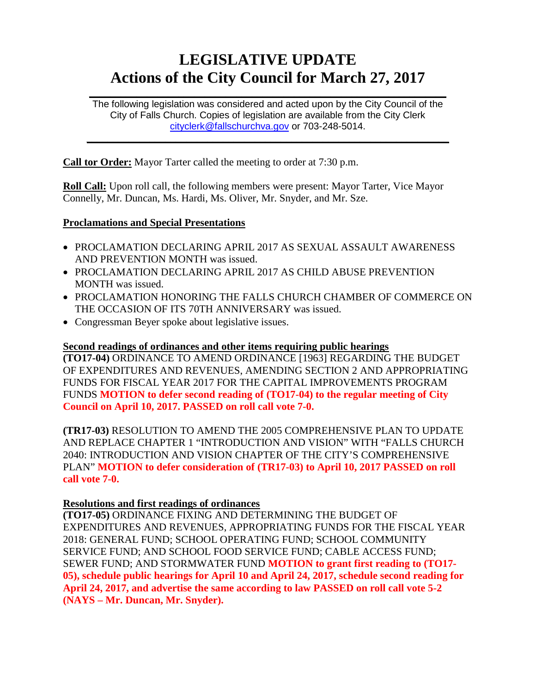# **LEGISLATIVE UPDATE Actions of the City Council for March 27, 2017**

The following legislation was considered and acted upon by the City Council of the City of Falls Church. Copies of legislation are available from the City Clerk [cityclerk@fallschurchva.gov](mailto:cityclerk@fallschurchva.gov) or 703-248-5014.

 $\frac{1}{2}$  ,  $\frac{1}{2}$  ,  $\frac{1}{2}$  ,  $\frac{1}{2}$  ,  $\frac{1}{2}$  ,  $\frac{1}{2}$  ,  $\frac{1}{2}$  ,  $\frac{1}{2}$  ,  $\frac{1}{2}$  ,  $\frac{1}{2}$  ,  $\frac{1}{2}$  ,  $\frac{1}{2}$  ,  $\frac{1}{2}$  ,  $\frac{1}{2}$  ,  $\frac{1}{2}$  ,  $\frac{1}{2}$  ,  $\frac{1}{2}$  ,  $\frac{1}{2}$  ,  $\frac{1$ 

 $\frac{1}{2}$  ,  $\frac{1}{2}$  ,  $\frac{1}{2}$  ,  $\frac{1}{2}$  ,  $\frac{1}{2}$  ,  $\frac{1}{2}$  ,  $\frac{1}{2}$  ,  $\frac{1}{2}$  ,  $\frac{1}{2}$  ,  $\frac{1}{2}$  ,  $\frac{1}{2}$  ,  $\frac{1}{2}$  ,  $\frac{1}{2}$  ,  $\frac{1}{2}$  ,  $\frac{1}{2}$  ,  $\frac{1}{2}$  ,  $\frac{1}{2}$  ,  $\frac{1}{2}$  ,  $\frac{1$ 

**Call tor Order:** Mayor Tarter called the meeting to order at 7:30 p.m.

**Roll Call:** Upon roll call, the following members were present: Mayor Tarter, Vice Mayor Connelly, Mr. Duncan, Ms. Hardi, Ms. Oliver, Mr. Snyder, and Mr. Sze.

#### **Proclamations and Special Presentations**

- PROCLAMATION DECLARING APRIL 2017 AS SEXUAL ASSAULT AWARENESS AND PREVENTION MONTH was issued.
- PROCLAMATION DECLARING APRIL 2017 AS CHILD ABUSE PREVENTION MONTH was issued.
- PROCLAMATION HONORING THE FALLS CHURCH CHAMBER OF COMMERCE ON THE OCCASION OF ITS 70TH ANNIVERSARY was issued.
- Congressman Beyer spoke about legislative issues.

## **Second readings of ordinances and other items requiring public hearings**

**(TO17-04)** ORDINANCE TO AMEND ORDINANCE [1963] REGARDING THE BUDGET OF EXPENDITURES AND REVENUES, AMENDING SECTION 2 AND APPROPRIATING FUNDS FOR FISCAL YEAR 2017 FOR THE CAPITAL IMPROVEMENTS PROGRAM FUNDS **MOTION to defer second reading of (TO17-04) to the regular meeting of City Council on April 10, 2017. PASSED on roll call vote 7-0.**

**(TR17-03)** RESOLUTION TO AMEND THE 2005 COMPREHENSIVE PLAN TO UPDATE AND REPLACE CHAPTER 1 "INTRODUCTION AND VISION" WITH "FALLS CHURCH 2040: INTRODUCTION AND VISION CHAPTER OF THE CITY'S COMPREHENSIVE PLAN" **MOTION to defer consideration of (TR17-03) to April 10, 2017 PASSED on roll call vote 7-0.**

#### **Resolutions and first readings of ordinances**

**(TO17-05)** ORDINANCE FIXING AND DETERMINING THE BUDGET OF EXPENDITURES AND REVENUES, APPROPRIATING FUNDS FOR THE FISCAL YEAR 2018: GENERAL FUND; SCHOOL OPERATING FUND; SCHOOL COMMUNITY SERVICE FUND; AND SCHOOL FOOD SERVICE FUND; CABLE ACCESS FUND; SEWER FUND; AND STORMWATER FUND **MOTION to grant first reading to (TO17- 05), schedule public hearings for April 10 and April 24, 2017, schedule second reading for April 24, 2017, and advertise the same according to law PASSED on roll call vote 5-2 (NAYS – Mr. Duncan, Mr. Snyder).**